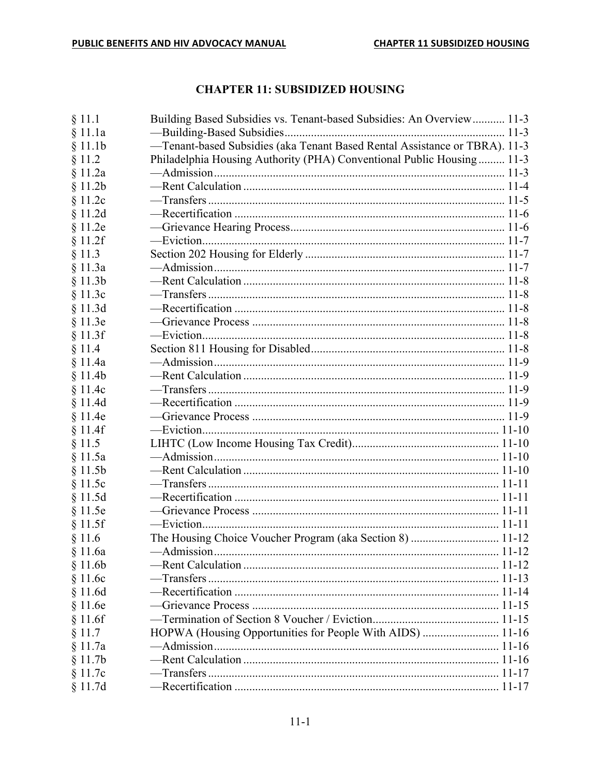# **CHAPTER 11: SUBSIDIZED HOUSING**

| § 11.1  | Building Based Subsidies vs. Tenant-based Subsidies: An Overview 11-3      |  |
|---------|----------------------------------------------------------------------------|--|
| § 11.1a |                                                                            |  |
| § 11.1b | -Tenant-based Subsidies (aka Tenant Based Rental Assistance or TBRA). 11-3 |  |
| § 11.2  | Philadelphia Housing Authority (PHA) Conventional Public Housing 11-3      |  |
| § 11.2a |                                                                            |  |
| § 11.2b |                                                                            |  |
| § 11.2c |                                                                            |  |
| § 11.2d |                                                                            |  |
| § 11.2e |                                                                            |  |
| § 11.2f |                                                                            |  |
| § 11.3  |                                                                            |  |
| § 11.3a |                                                                            |  |
| § 11.3b |                                                                            |  |
| § 11.3c |                                                                            |  |
| § 11.3d |                                                                            |  |
| § 11.3e |                                                                            |  |
| § 11.3f |                                                                            |  |
| § 11.4  |                                                                            |  |
| § 11.4a |                                                                            |  |
| § 11.4b |                                                                            |  |
| § 11.4c |                                                                            |  |
|         |                                                                            |  |
| § 11.4d |                                                                            |  |
| § 11.4e |                                                                            |  |
| § 11.4f |                                                                            |  |
| § 11.5  |                                                                            |  |
| § 11.5a |                                                                            |  |
| § 11.5b |                                                                            |  |
| § 11.5c |                                                                            |  |
| § 11.5d |                                                                            |  |
| § 11.5e |                                                                            |  |
| § 11.5f |                                                                            |  |
| \$11.6  | The Housing Choice Voucher Program (aka Section 8)  11-12                  |  |
| § 11.6a |                                                                            |  |
| § 11.6b |                                                                            |  |
| § 11.6c |                                                                            |  |
| § 11.6d |                                                                            |  |
| § 11.6e |                                                                            |  |
| § 11.6f |                                                                            |  |
| § 11.7  | HOPWA (Housing Opportunities for People With AIDS)  11-16                  |  |
| § 11.7a |                                                                            |  |
| § 11.7b |                                                                            |  |
| § 11.7c |                                                                            |  |
| § 11.7d |                                                                            |  |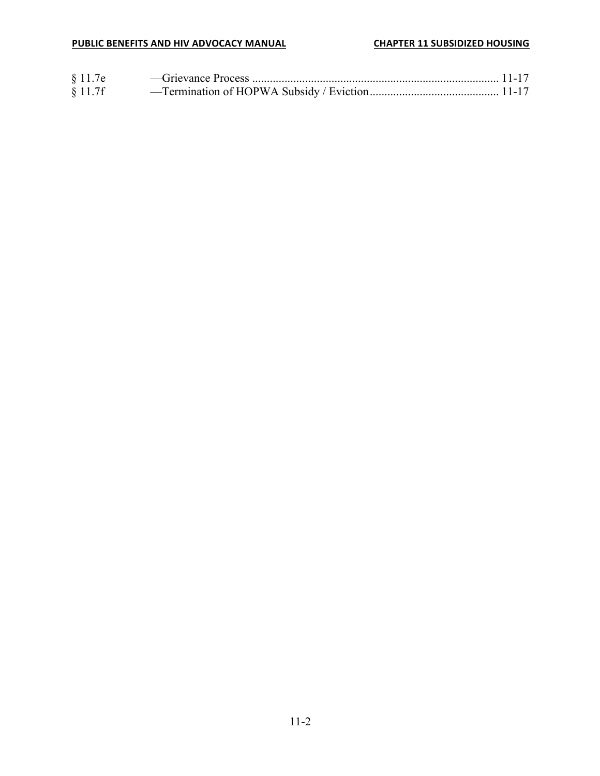| § 11.7e |  |
|---------|--|
| § 11.7f |  |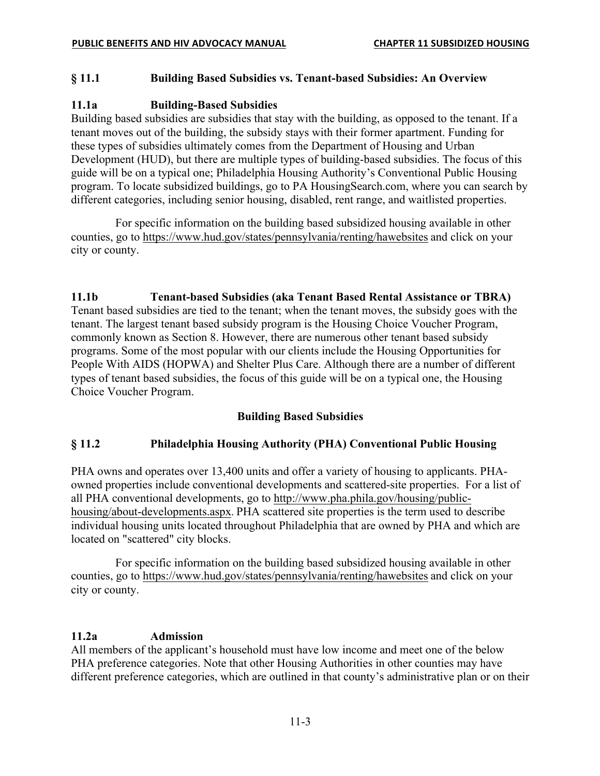### **§ 11.1 Building Based Subsidies vs. Tenant-based Subsidies: An Overview**

### **11.1a Building-Based Subsidies**

Building based subsidies are subsidies that stay with the building, as opposed to the tenant. If a tenant moves out of the building, the subsidy stays with their former apartment. Funding for these types of subsidies ultimately comes from the Department of Housing and Urban Development (HUD), but there are multiple types of building-based subsidies. The focus of this guide will be on a typical one; Philadelphia Housing Authority's Conventional Public Housing program. To locate subsidized buildings, go to PA HousingSearch.com, where you can search by different categories, including senior housing, disabled, rent range, and waitlisted properties.

For specific information on the building based subsidized housing available in other counties, go to https://www.hud.gov/states/pennsylvania/renting/hawebsites and click on your city or county.

#### **11.1b Tenant-based Subsidies (aka Tenant Based Rental Assistance or TBRA)**

Tenant based subsidies are tied to the tenant; when the tenant moves, the subsidy goes with the tenant. The largest tenant based subsidy program is the Housing Choice Voucher Program, commonly known as Section 8. However, there are numerous other tenant based subsidy programs. Some of the most popular with our clients include the Housing Opportunities for People With AIDS (HOPWA) and Shelter Plus Care. Although there are a number of different types of tenant based subsidies, the focus of this guide will be on a typical one, the Housing Choice Voucher Program.

#### **Building Based Subsidies**

#### **§ 11.2 Philadelphia Housing Authority (PHA) Conventional Public Housing**

PHA owns and operates over 13,400 units and offer a variety of housing to applicants. PHAowned properties include conventional developments and scattered-site properties. For a list of all PHA conventional developments, go to http://www.pha.phila.gov/housing/publichousing/about-developments.aspx. PHA scattered site properties is the term used to describe individual housing units located throughout Philadelphia that are owned by PHA and which are located on "scattered" city blocks.

For specific information on the building based subsidized housing available in other counties, go to https://www.hud.gov/states/pennsylvania/renting/hawebsites and click on your city or county.

#### **11.2a Admission**

All members of the applicant's household must have low income and meet one of the below PHA preference categories. Note that other Housing Authorities in other counties may have different preference categories, which are outlined in that county's administrative plan or on their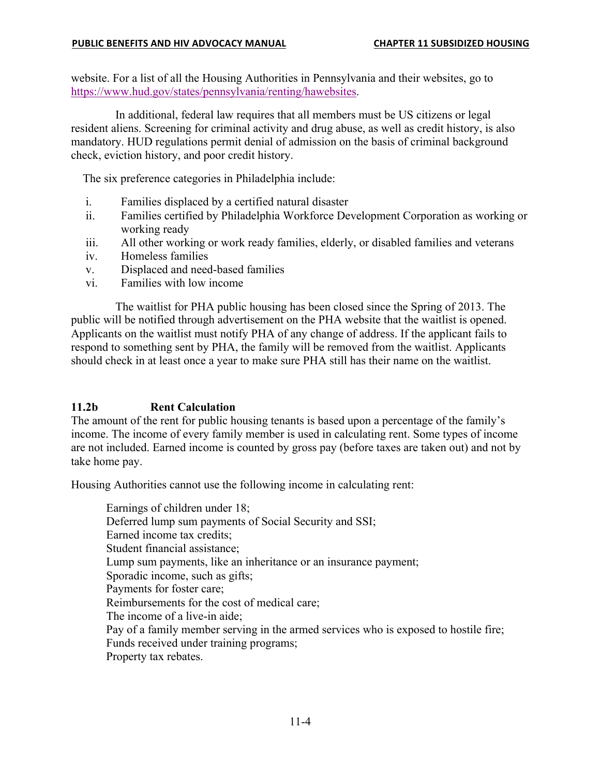website. For a list of all the Housing Authorities in Pennsylvania and their websites, go to https://www.hud.gov/states/pennsylvania/renting/hawebsites.

In additional, federal law requires that all members must be US citizens or legal resident aliens. Screening for criminal activity and drug abuse, as well as credit history, is also mandatory. HUD regulations permit denial of admission on the basis of criminal background check, eviction history, and poor credit history.

The six preference categories in Philadelphia include:

- i. Families displaced by a certified natural disaster
- ii. Families certified by Philadelphia Workforce Development Corporation as working or working ready
- iii. All other working or work ready families, elderly, or disabled families and veterans
- iv. Homeless families
- v. Displaced and need-based families
- vi. Families with low income

The waitlist for PHA public housing has been closed since the Spring of 2013. The public will be notified through advertisement on the PHA website that the waitlist is opened. Applicants on the waitlist must notify PHA of any change of address. If the applicant fails to respond to something sent by PHA, the family will be removed from the waitlist. Applicants should check in at least once a year to make sure PHA still has their name on the waitlist.

### **11.2b Rent Calculation**

The amount of the rent for public housing tenants is based upon a percentage of the family's income. The income of every family member is used in calculating rent. Some types of income are not included. Earned income is counted by gross pay (before taxes are taken out) and not by take home pay.

Housing Authorities cannot use the following income in calculating rent:

Earnings of children under 18; Deferred lump sum payments of Social Security and SSI; Earned income tax credits; Student financial assistance; Lump sum payments, like an inheritance or an insurance payment; Sporadic income, such as gifts; Payments for foster care; Reimbursements for the cost of medical care; The income of a live-in aide; Pay of a family member serving in the armed services who is exposed to hostile fire; Funds received under training programs; Property tax rebates.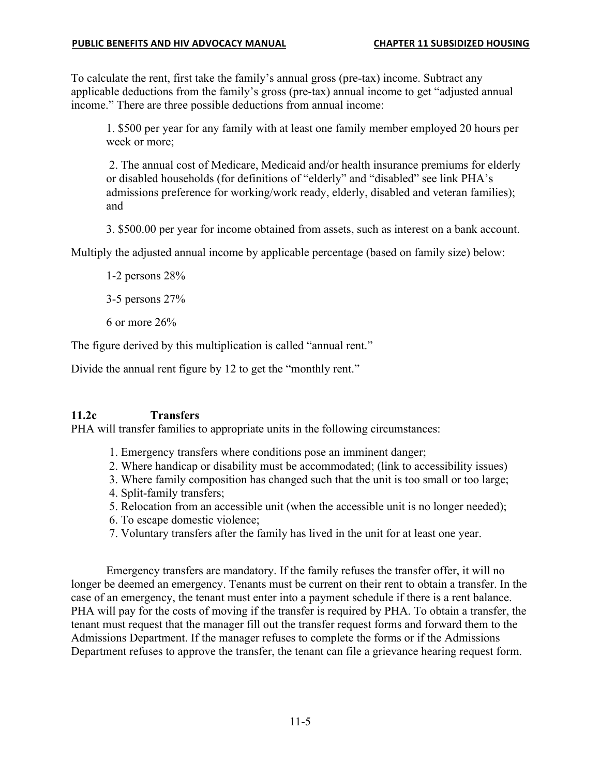To calculate the rent, first take the family's annual gross (pre-tax) income. Subtract any applicable deductions from the family's gross (pre-tax) annual income to get "adjusted annual income." There are three possible deductions from annual income:

1. \$500 per year for any family with at least one family member employed 20 hours per week or more;

2. The annual cost of Medicare, Medicaid and/or health insurance premiums for elderly or disabled households (for definitions of "elderly" and "disabled" see link PHA's admissions preference for working/work ready, elderly, disabled and veteran families); and

3. \$500.00 per year for income obtained from assets, such as interest on a bank account.

Multiply the adjusted annual income by applicable percentage (based on family size) below:

1-2 persons 28%

3-5 persons 27%

6 or more 26%

The figure derived by this multiplication is called "annual rent."

Divide the annual rent figure by 12 to get the "monthly rent."

### **11.2c Transfers**

PHA will transfer families to appropriate units in the following circumstances:

- 1. Emergency transfers where conditions pose an imminent danger;
- 2. Where handicap or disability must be accommodated; (link to accessibility issues)
- 3. Where family composition has changed such that the unit is too small or too large;
- 4. Split-family transfers;
- 5. Relocation from an accessible unit (when the accessible unit is no longer needed);
- 6. To escape domestic violence;
- 7. Voluntary transfers after the family has lived in the unit for at least one year.

Emergency transfers are mandatory. If the family refuses the transfer offer, it will no longer be deemed an emergency. Tenants must be current on their rent to obtain a transfer. In the case of an emergency, the tenant must enter into a payment schedule if there is a rent balance. PHA will pay for the costs of moving if the transfer is required by PHA. To obtain a transfer, the tenant must request that the manager fill out the transfer request forms and forward them to the Admissions Department. If the manager refuses to complete the forms or if the Admissions Department refuses to approve the transfer, the tenant can file a grievance hearing request form.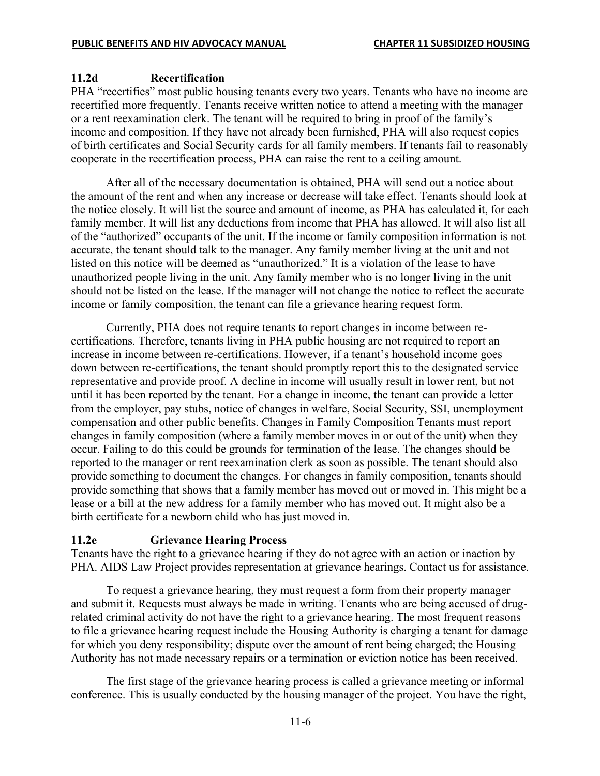#### **11.2d Recertification**

PHA "recertifies" most public housing tenants every two years. Tenants who have no income are recertified more frequently. Tenants receive written notice to attend a meeting with the manager or a rent reexamination clerk. The tenant will be required to bring in proof of the family's income and composition. If they have not already been furnished, PHA will also request copies of birth certificates and Social Security cards for all family members. If tenants fail to reasonably cooperate in the recertification process, PHA can raise the rent to a ceiling amount.

After all of the necessary documentation is obtained, PHA will send out a notice about the amount of the rent and when any increase or decrease will take effect. Tenants should look at the notice closely. It will list the source and amount of income, as PHA has calculated it, for each family member. It will list any deductions from income that PHA has allowed. It will also list all of the "authorized" occupants of the unit. If the income or family composition information is not accurate, the tenant should talk to the manager. Any family member living at the unit and not listed on this notice will be deemed as "unauthorized." It is a violation of the lease to have unauthorized people living in the unit. Any family member who is no longer living in the unit should not be listed on the lease. If the manager will not change the notice to reflect the accurate income or family composition, the tenant can file a grievance hearing request form.

Currently, PHA does not require tenants to report changes in income between recertifications. Therefore, tenants living in PHA public housing are not required to report an increase in income between re-certifications. However, if a tenant's household income goes down between re-certifications, the tenant should promptly report this to the designated service representative and provide proof. A decline in income will usually result in lower rent, but not until it has been reported by the tenant. For a change in income, the tenant can provide a letter from the employer, pay stubs, notice of changes in welfare, Social Security, SSI, unemployment compensation and other public benefits. Changes in Family Composition Tenants must report changes in family composition (where a family member moves in or out of the unit) when they occur. Failing to do this could be grounds for termination of the lease. The changes should be reported to the manager or rent reexamination clerk as soon as possible. The tenant should also provide something to document the changes. For changes in family composition, tenants should provide something that shows that a family member has moved out or moved in. This might be a lease or a bill at the new address for a family member who has moved out. It might also be a birth certificate for a newborn child who has just moved in.

#### **11.2e Grievance Hearing Process**

Tenants have the right to a grievance hearing if they do not agree with an action or inaction by PHA. AIDS Law Project provides representation at grievance hearings. Contact us for assistance.

To request a grievance hearing, they must request a form from their property manager and submit it. Requests must always be made in writing. Tenants who are being accused of drugrelated criminal activity do not have the right to a grievance hearing. The most frequent reasons to file a grievance hearing request include the Housing Authority is charging a tenant for damage for which you deny responsibility; dispute over the amount of rent being charged; the Housing Authority has not made necessary repairs or a termination or eviction notice has been received.

The first stage of the grievance hearing process is called a grievance meeting or informal conference. This is usually conducted by the housing manager of the project. You have the right,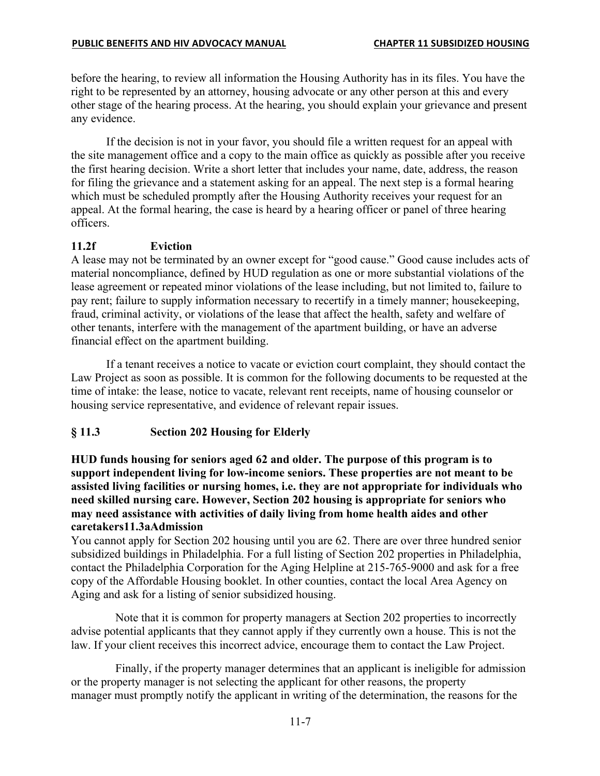#### **PUBLIC BENEFITS AND HIV ADVOCACY MANUAL CHAPTER 11 SUBSIDIZED HOUSING**

before the hearing, to review all information the Housing Authority has in its files. You have the right to be represented by an attorney, housing advocate or any other person at this and every other stage of the hearing process. At the hearing, you should explain your grievance and present any evidence.

If the decision is not in your favor, you should file a written request for an appeal with the site management office and a copy to the main office as quickly as possible after you receive the first hearing decision. Write a short letter that includes your name, date, address, the reason for filing the grievance and a statement asking for an appeal. The next step is a formal hearing which must be scheduled promptly after the Housing Authority receives your request for an appeal. At the formal hearing, the case is heard by a hearing officer or panel of three hearing officers.

### **11.2f Eviction**

A lease may not be terminated by an owner except for "good cause." Good cause includes acts of material noncompliance, defined by HUD regulation as one or more substantial violations of the lease agreement or repeated minor violations of the lease including, but not limited to, failure to pay rent; failure to supply information necessary to recertify in a timely manner; housekeeping, fraud, criminal activity, or violations of the lease that affect the health, safety and welfare of other tenants, interfere with the management of the apartment building, or have an adverse financial effect on the apartment building.

If a tenant receives a notice to vacate or eviction court complaint, they should contact the Law Project as soon as possible. It is common for the following documents to be requested at the time of intake: the lease, notice to vacate, relevant rent receipts, name of housing counselor or housing service representative, and evidence of relevant repair issues.

### **§ 11.3 Section 202 Housing for Elderly**

**HUD funds housing for seniors aged 62 and older. The purpose of this program is to support independent living for low-income seniors. These properties are not meant to be assisted living facilities or nursing homes, i.e. they are not appropriate for individuals who need skilled nursing care. However, Section 202 housing is appropriate for seniors who may need assistance with activities of daily living from home health aides and other caretakers11.3aAdmission**

You cannot apply for Section 202 housing until you are 62. There are over three hundred senior subsidized buildings in Philadelphia. For a full listing of Section 202 properties in Philadelphia, contact the Philadelphia Corporation for the Aging Helpline at 215-765-9000 and ask for a free copy of the Affordable Housing booklet. In other counties, contact the local Area Agency on Aging and ask for a listing of senior subsidized housing.

Note that it is common for property managers at Section 202 properties to incorrectly advise potential applicants that they cannot apply if they currently own a house. This is not the law. If your client receives this incorrect advice, encourage them to contact the Law Project.

Finally, if the property manager determines that an applicant is ineligible for admission or the property manager is not selecting the applicant for other reasons, the property manager must promptly notify the applicant in writing of the determination, the reasons for the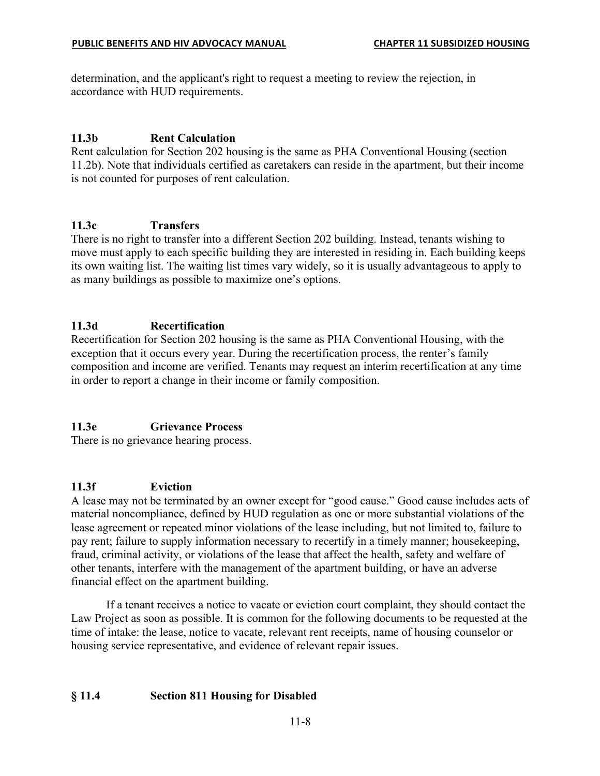determination, and the applicant's right to request a meeting to review the rejection, in accordance with HUD requirements.

### **11.3b Rent Calculation**

Rent calculation for Section 202 housing is the same as PHA Conventional Housing (section 11.2b). Note that individuals certified as caretakers can reside in the apartment, but their income is not counted for purposes of rent calculation.

## **11.3c Transfers**

There is no right to transfer into a different Section 202 building. Instead, tenants wishing to move must apply to each specific building they are interested in residing in. Each building keeps its own waiting list. The waiting list times vary widely, so it is usually advantageous to apply to as many buildings as possible to maximize one's options.

## **11.3d Recertification**

Recertification for Section 202 housing is the same as PHA Conventional Housing, with the exception that it occurs every year. During the recertification process, the renter's family composition and income are verified. Tenants may request an interim recertification at any time in order to report a change in their income or family composition.

# **11.3e Grievance Process**

There is no grievance hearing process.

### **11.3f Eviction**

A lease may not be terminated by an owner except for "good cause." Good cause includes acts of material noncompliance, defined by HUD regulation as one or more substantial violations of the lease agreement or repeated minor violations of the lease including, but not limited to, failure to pay rent; failure to supply information necessary to recertify in a timely manner; housekeeping, fraud, criminal activity, or violations of the lease that affect the health, safety and welfare of other tenants, interfere with the management of the apartment building, or have an adverse financial effect on the apartment building.

If a tenant receives a notice to vacate or eviction court complaint, they should contact the Law Project as soon as possible. It is common for the following documents to be requested at the time of intake: the lease, notice to vacate, relevant rent receipts, name of housing counselor or housing service representative, and evidence of relevant repair issues.

# **§ 11.4 Section 811 Housing for Disabled**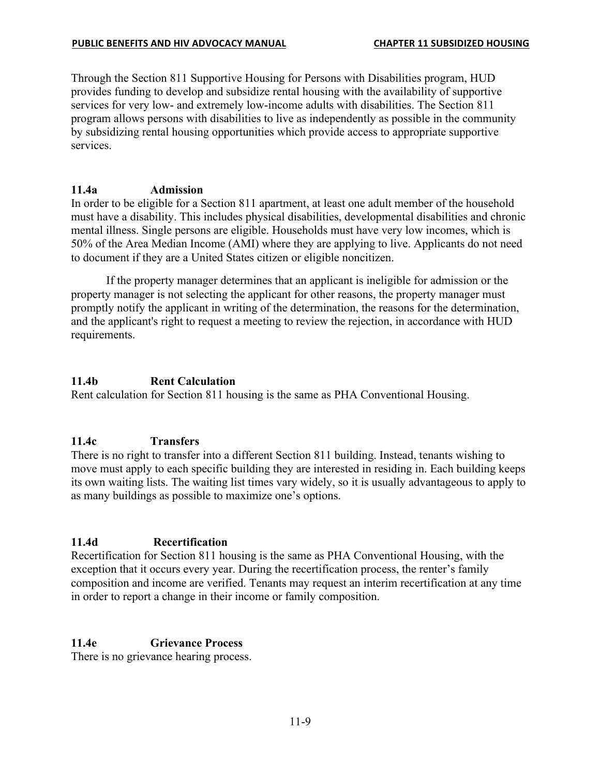Through the Section 811 Supportive Housing for Persons with Disabilities program, HUD provides funding to develop and subsidize rental housing with the availability of supportive services for very low- and extremely low-income adults with disabilities. The Section 811 program allows persons with disabilities to live as independently as possible in the community by subsidizing rental housing opportunities which provide access to appropriate supportive services.

#### **11.4a Admission**

In order to be eligible for a Section 811 apartment, at least one adult member of the household must have a disability. This includes physical disabilities, developmental disabilities and chronic mental illness. Single persons are eligible. Households must have very low incomes, which is 50% of the Area Median Income (AMI) where they are applying to live. Applicants do not need to document if they are a United States citizen or eligible noncitizen.

If the property manager determines that an applicant is ineligible for admission or the property manager is not selecting the applicant for other reasons, the property manager must promptly notify the applicant in writing of the determination, the reasons for the determination, and the applicant's right to request a meeting to review the rejection, in accordance with HUD requirements.

### **11.4b Rent Calculation**

Rent calculation for Section 811 housing is the same as PHA Conventional Housing.

### **11.4c Transfers**

There is no right to transfer into a different Section 811 building. Instead, tenants wishing to move must apply to each specific building they are interested in residing in. Each building keeps its own waiting lists. The waiting list times vary widely, so it is usually advantageous to apply to as many buildings as possible to maximize one's options.

### **11.4d Recertification**

Recertification for Section 811 housing is the same as PHA Conventional Housing, with the exception that it occurs every year. During the recertification process, the renter's family composition and income are verified. Tenants may request an interim recertification at any time in order to report a change in their income or family composition.

### **11.4e Grievance Process**

There is no grievance hearing process.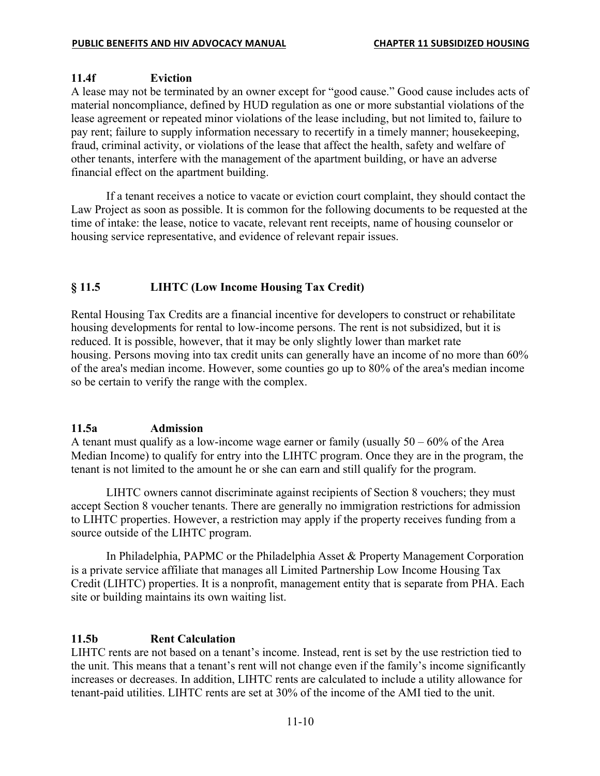### **11.4f Eviction**

A lease may not be terminated by an owner except for "good cause." Good cause includes acts of material noncompliance, defined by HUD regulation as one or more substantial violations of the lease agreement or repeated minor violations of the lease including, but not limited to, failure to pay rent; failure to supply information necessary to recertify in a timely manner; housekeeping, fraud, criminal activity, or violations of the lease that affect the health, safety and welfare of other tenants, interfere with the management of the apartment building, or have an adverse financial effect on the apartment building.

If a tenant receives a notice to vacate or eviction court complaint, they should contact the Law Project as soon as possible. It is common for the following documents to be requested at the time of intake: the lease, notice to vacate, relevant rent receipts, name of housing counselor or housing service representative, and evidence of relevant repair issues.

## **§ 11.5 LIHTC (Low Income Housing Tax Credit)**

Rental Housing Tax Credits are a financial incentive for developers to construct or rehabilitate housing developments for rental to low-income persons. The rent is not subsidized, but it is reduced. It is possible, however, that it may be only slightly lower than market rate housing. Persons moving into tax credit units can generally have an income of no more than 60% of the area's median income. However, some counties go up to 80% of the area's median income so be certain to verify the range with the complex.

### **11.5a Admission**

A tenant must qualify as a low-income wage earner or family (usually  $50 - 60\%$  of the Area Median Income) to qualify for entry into the LIHTC program. Once they are in the program, the tenant is not limited to the amount he or she can earn and still qualify for the program.

LIHTC owners cannot discriminate against recipients of Section 8 vouchers; they must accept Section 8 voucher tenants. There are generally no immigration restrictions for admission to LIHTC properties. However, a restriction may apply if the property receives funding from a source outside of the LIHTC program.

In Philadelphia, PAPMC or the Philadelphia Asset & Property Management Corporation is a private service affiliate that manages all Limited Partnership Low Income Housing Tax Credit (LIHTC) properties. It is a nonprofit, management entity that is separate from PHA. Each site or building maintains its own waiting list.

### **11.5b Rent Calculation**

LIHTC rents are not based on a tenant's income. Instead, rent is set by the use restriction tied to the unit. This means that a tenant's rent will not change even if the family's income significantly increases or decreases. In addition, LIHTC rents are calculated to include a utility allowance for tenant-paid utilities. LIHTC rents are set at 30% of the income of the AMI tied to the unit.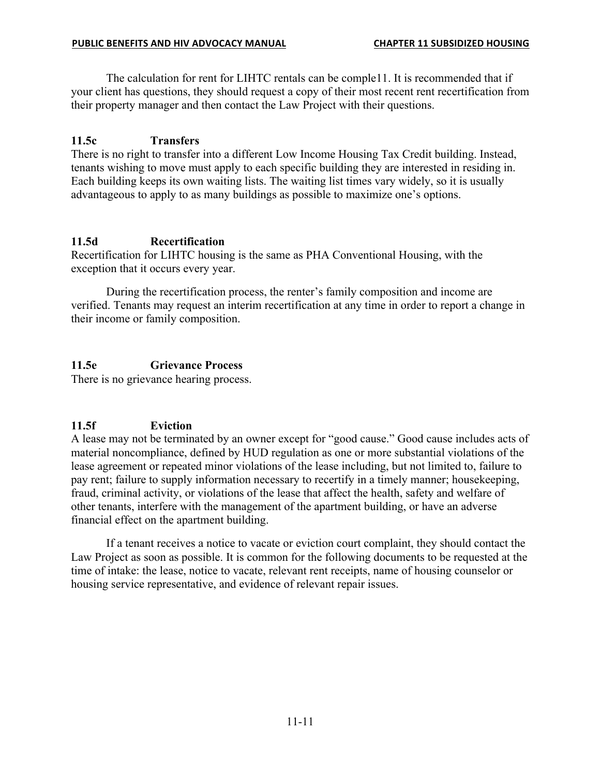The calculation for rent for LIHTC rentals can be comple11. It is recommended that if your client has questions, they should request a copy of their most recent rent recertification from their property manager and then contact the Law Project with their questions.

### **11.5c Transfers**

There is no right to transfer into a different Low Income Housing Tax Credit building. Instead, tenants wishing to move must apply to each specific building they are interested in residing in. Each building keeps its own waiting lists. The waiting list times vary widely, so it is usually advantageous to apply to as many buildings as possible to maximize one's options.

## **11.5d Recertification**

Recertification for LIHTC housing is the same as PHA Conventional Housing, with the exception that it occurs every year.

During the recertification process, the renter's family composition and income are verified. Tenants may request an interim recertification at any time in order to report a change in their income or family composition.

## **11.5e Grievance Process**

There is no grievance hearing process.

# **11.5f Eviction**

A lease may not be terminated by an owner except for "good cause." Good cause includes acts of material noncompliance, defined by HUD regulation as one or more substantial violations of the lease agreement or repeated minor violations of the lease including, but not limited to, failure to pay rent; failure to supply information necessary to recertify in a timely manner; housekeeping, fraud, criminal activity, or violations of the lease that affect the health, safety and welfare of other tenants, interfere with the management of the apartment building, or have an adverse financial effect on the apartment building.

If a tenant receives a notice to vacate or eviction court complaint, they should contact the Law Project as soon as possible. It is common for the following documents to be requested at the time of intake: the lease, notice to vacate, relevant rent receipts, name of housing counselor or housing service representative, and evidence of relevant repair issues.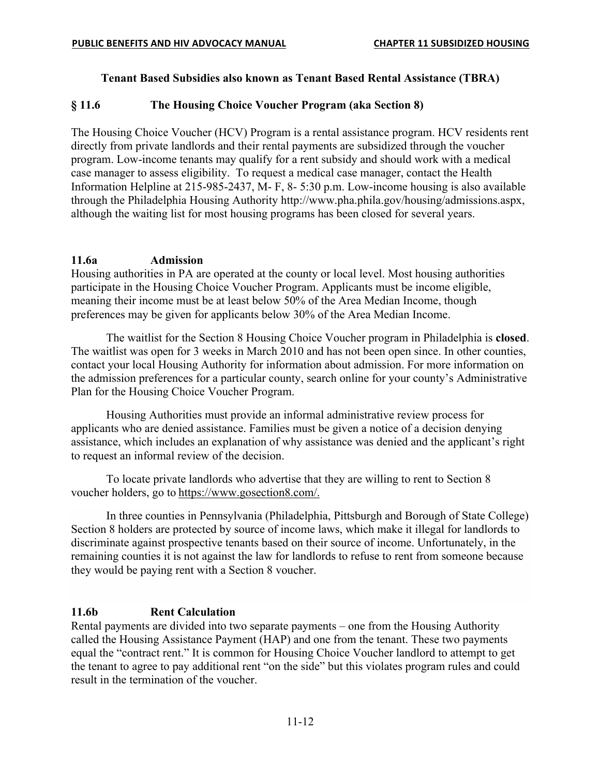### **Tenant Based Subsidies also known as Tenant Based Rental Assistance (TBRA)**

### **§ 11.6 The Housing Choice Voucher Program (aka Section 8)**

The Housing Choice Voucher (HCV) Program is a rental assistance program. HCV residents rent directly from private landlords and their rental payments are subsidized through the voucher program. Low-income tenants may qualify for a rent subsidy and should work with a medical case manager to assess eligibility. To request a medical case manager, contact the Health Information Helpline at 215-985-2437, M- F, 8- 5:30 p.m. Low-income housing is also available through the Philadelphia Housing Authority http://www.pha.phila.gov/housing/admissions.aspx, although the waiting list for most housing programs has been closed for several years.

### **11.6a Admission**

Housing authorities in PA are operated at the county or local level. Most housing authorities participate in the Housing Choice Voucher Program. Applicants must be income eligible, meaning their income must be at least below 50% of the Area Median Income, though preferences may be given for applicants below 30% of the Area Median Income.

The waitlist for the Section 8 Housing Choice Voucher program in Philadelphia is **closed**. The waitlist was open for 3 weeks in March 2010 and has not been open since. In other counties, contact your local Housing Authority for information about admission. For more information on the admission preferences for a particular county, search online for your county's Administrative Plan for the Housing Choice Voucher Program.

Housing Authorities must provide an informal administrative review process for applicants who are denied assistance. Families must be given a notice of a decision denying assistance, which includes an explanation of why assistance was denied and the applicant's right to request an informal review of the decision.

To locate private landlords who advertise that they are willing to rent to Section 8 voucher holders, go to https://www.gosection8.com/.

In three counties in Pennsylvania (Philadelphia, Pittsburgh and Borough of State College) Section 8 holders are protected by source of income laws, which make it illegal for landlords to discriminate against prospective tenants based on their source of income. Unfortunately, in the remaining counties it is not against the law for landlords to refuse to rent from someone because they would be paying rent with a Section 8 voucher.

### **11.6b Rent Calculation**

Rental payments are divided into two separate payments – one from the Housing Authority called the Housing Assistance Payment (HAP) and one from the tenant. These two payments equal the "contract rent." It is common for Housing Choice Voucher landlord to attempt to get the tenant to agree to pay additional rent "on the side" but this violates program rules and could result in the termination of the voucher.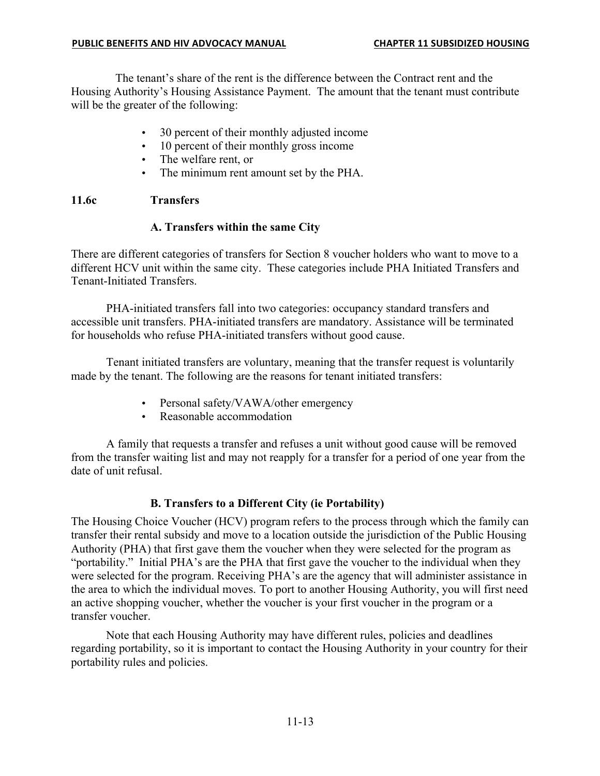The tenant's share of the rent is the difference between the Contract rent and the Housing Authority's Housing Assistance Payment. The amount that the tenant must contribute will be the greater of the following:

- 30 percent of their monthly adjusted income
- 10 percent of their monthly gross income
- The welfare rent, or
- The minimum rent amount set by the PHA.

### **11.6c Transfers**

### **A. Transfers within the same City**

There are different categories of transfers for Section 8 voucher holders who want to move to a different HCV unit within the same city. These categories include PHA Initiated Transfers and Tenant-Initiated Transfers.

PHA-initiated transfers fall into two categories: occupancy standard transfers and accessible unit transfers. PHA-initiated transfers are mandatory. Assistance will be terminated for households who refuse PHA-initiated transfers without good cause.

Tenant initiated transfers are voluntary, meaning that the transfer request is voluntarily made by the tenant. The following are the reasons for tenant initiated transfers:

- Personal safety/VAWA/other emergency
- Reasonable accommodation

A family that requests a transfer and refuses a unit without good cause will be removed from the transfer waiting list and may not reapply for a transfer for a period of one year from the date of unit refusal.

### **B. Transfers to a Different City (ie Portability)**

The Housing Choice Voucher (HCV) program refers to the process through which the family can transfer their rental subsidy and move to a location outside the jurisdiction of the Public Housing Authority (PHA) that first gave them the voucher when they were selected for the program as "portability." Initial PHA's are the PHA that first gave the voucher to the individual when they were selected for the program. Receiving PHA's are the agency that will administer assistance in the area to which the individual moves. To port to another Housing Authority, you will first need an active shopping voucher, whether the voucher is your first voucher in the program or a transfer voucher.

Note that each Housing Authority may have different rules, policies and deadlines regarding portability, so it is important to contact the Housing Authority in your country for their portability rules and policies.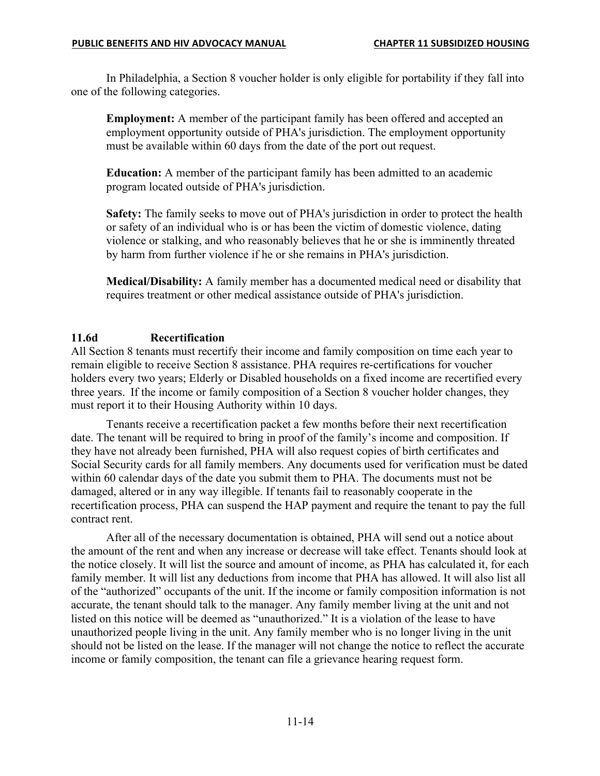In Philadelphia, a Section 8 voucher holder is only eligible for portability if they fall into one of the following categories.

**Employment:** A member of the participant family has been offered and accepted an employment opportunity outside of PHA's jurisdiction. The employment opportunity must be available within 60 days from the date of the port out request.

**Education:** A member of the participant family has been admitted to an academic program located outside of PHA's jurisdiction.

**Safety:** The family seeks to move out of PHA's jurisdiction in order to protect the health or safety of an individual who is or has been the victim of domestic violence, dating violence or stalking, and who reasonably believes that he or she is imminently threated by harm from further violence if he or she remains in PHA's jurisdiction.

**Medical/Disability:** A family member has a documented medical need or disability that requires treatment or other medical assistance outside of PHA's jurisdiction.

### **11.6d Recertification**

All Section 8 tenants must recertify their income and family composition on time each year to remain eligible to receive Section 8 assistance. PHA requires re-certifications for voucher holders every two years; Elderly or Disabled households on a fixed income are recertified every three years. If the income or family composition of a Section 8 voucher holder changes, they must report it to their Housing Authority within 10 days.

Tenants receive a recertification packet a few months before their next recertification date. The tenant will be required to bring in proof of the family's income and composition. If they have not already been furnished, PHA will also request copies of birth certificates and Social Security cards for all family members. Any documents used for verification must be dated within 60 calendar days of the date you submit them to PHA. The documents must not be damaged, altered or in any way illegible. If tenants fail to reasonably cooperate in the recertification process, PHA can suspend the HAP payment and require the tenant to pay the full contract rent.

After all of the necessary documentation is obtained, PHA will send out a notice about the amount of the rent and when any increase or decrease will take effect. Tenants should look at the notice closely. It will list the source and amount of income, as PHA has calculated it, for each family member. It will list any deductions from income that PHA has allowed. It will also list all of the "authorized" occupants of the unit. If the income or family composition information is not accurate, the tenant should talk to the manager. Any family member living at the unit and not listed on this notice will be deemed as "unauthorized." It is a violation of the lease to have unauthorized people living in the unit. Any family member who is no longer living in the unit should not be listed on the lease. If the manager will not change the notice to reflect the accurate income or family composition, the tenant can file a grievance hearing request form.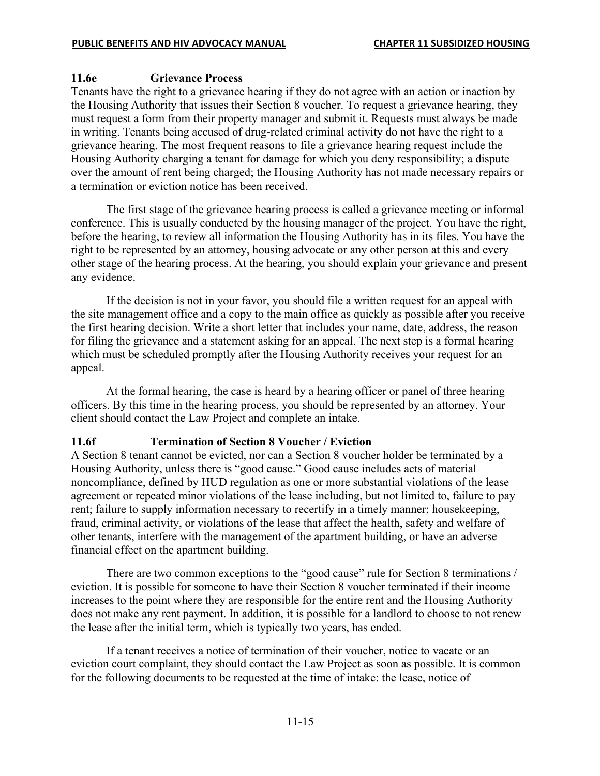### **11.6e Grievance Process**

Tenants have the right to a grievance hearing if they do not agree with an action or inaction by the Housing Authority that issues their Section 8 voucher. To request a grievance hearing, they must request a form from their property manager and submit it. Requests must always be made in writing. Tenants being accused of drug-related criminal activity do not have the right to a grievance hearing. The most frequent reasons to file a grievance hearing request include the Housing Authority charging a tenant for damage for which you deny responsibility; a dispute over the amount of rent being charged; the Housing Authority has not made necessary repairs or a termination or eviction notice has been received.

The first stage of the grievance hearing process is called a grievance meeting or informal conference. This is usually conducted by the housing manager of the project. You have the right, before the hearing, to review all information the Housing Authority has in its files. You have the right to be represented by an attorney, housing advocate or any other person at this and every other stage of the hearing process. At the hearing, you should explain your grievance and present any evidence.

If the decision is not in your favor, you should file a written request for an appeal with the site management office and a copy to the main office as quickly as possible after you receive the first hearing decision. Write a short letter that includes your name, date, address, the reason for filing the grievance and a statement asking for an appeal. The next step is a formal hearing which must be scheduled promptly after the Housing Authority receives your request for an appeal.

At the formal hearing, the case is heard by a hearing officer or panel of three hearing officers. By this time in the hearing process, you should be represented by an attorney. Your client should contact the Law Project and complete an intake.

#### **11.6f Termination of Section 8 Voucher / Eviction**

A Section 8 tenant cannot be evicted, nor can a Section 8 voucher holder be terminated by a Housing Authority, unless there is "good cause." Good cause includes acts of material noncompliance, defined by HUD regulation as one or more substantial violations of the lease agreement or repeated minor violations of the lease including, but not limited to, failure to pay rent; failure to supply information necessary to recertify in a timely manner; housekeeping, fraud, criminal activity, or violations of the lease that affect the health, safety and welfare of other tenants, interfere with the management of the apartment building, or have an adverse financial effect on the apartment building.

There are two common exceptions to the "good cause" rule for Section 8 terminations / eviction. It is possible for someone to have their Section 8 voucher terminated if their income increases to the point where they are responsible for the entire rent and the Housing Authority does not make any rent payment. In addition, it is possible for a landlord to choose to not renew the lease after the initial term, which is typically two years, has ended.

If a tenant receives a notice of termination of their voucher, notice to vacate or an eviction court complaint, they should contact the Law Project as soon as possible. It is common for the following documents to be requested at the time of intake: the lease, notice of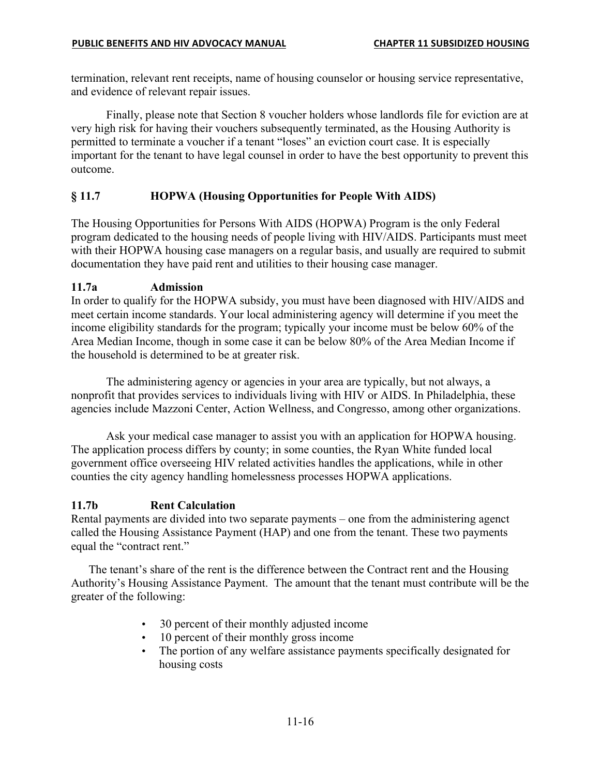termination, relevant rent receipts, name of housing counselor or housing service representative, and evidence of relevant repair issues.

Finally, please note that Section 8 voucher holders whose landlords file for eviction are at very high risk for having their vouchers subsequently terminated, as the Housing Authority is permitted to terminate a voucher if a tenant "loses" an eviction court case. It is especially important for the tenant to have legal counsel in order to have the best opportunity to prevent this outcome.

#### **§ 11.7 HOPWA (Housing Opportunities for People With AIDS)**

The Housing Opportunities for Persons With AIDS (HOPWA) Program is the only Federal program dedicated to the housing needs of people living with HIV/AIDS. Participants must meet with their HOPWA housing case managers on a regular basis, and usually are required to submit documentation they have paid rent and utilities to their housing case manager.

#### **11.7a Admission**

In order to qualify for the HOPWA subsidy, you must have been diagnosed with HIV/AIDS and meet certain income standards. Your local administering agency will determine if you meet the income eligibility standards for the program; typically your income must be below 60% of the Area Median Income, though in some case it can be below 80% of the Area Median Income if the household is determined to be at greater risk.

The administering agency or agencies in your area are typically, but not always, a nonprofit that provides services to individuals living with HIV or AIDS. In Philadelphia, these agencies include Mazzoni Center, Action Wellness, and Congresso, among other organizations.

Ask your medical case manager to assist you with an application for HOPWA housing. The application process differs by county; in some counties, the Ryan White funded local government office overseeing HIV related activities handles the applications, while in other counties the city agency handling homelessness processes HOPWA applications.

#### **11.7b Rent Calculation**

Rental payments are divided into two separate payments – one from the administering agenct called the Housing Assistance Payment (HAP) and one from the tenant. These two payments equal the "contract rent."

The tenant's share of the rent is the difference between the Contract rent and the Housing Authority's Housing Assistance Payment. The amount that the tenant must contribute will be the greater of the following:

- 30 percent of their monthly adjusted income
- 10 percent of their monthly gross income
- The portion of any welfare assistance payments specifically designated for housing costs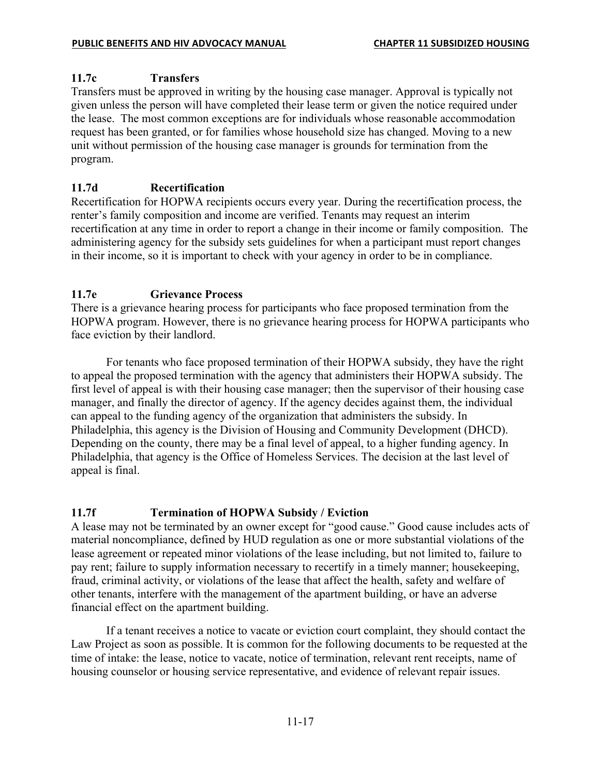### **11.7c Transfers**

Transfers must be approved in writing by the housing case manager. Approval is typically not given unless the person will have completed their lease term or given the notice required under the lease. The most common exceptions are for individuals whose reasonable accommodation request has been granted, or for families whose household size has changed. Moving to a new unit without permission of the housing case manager is grounds for termination from the program.

### **11.7d Recertification**

Recertification for HOPWA recipients occurs every year. During the recertification process, the renter's family composition and income are verified. Tenants may request an interim recertification at any time in order to report a change in their income or family composition. The administering agency for the subsidy sets guidelines for when a participant must report changes in their income, so it is important to check with your agency in order to be in compliance.

### **11.7e Grievance Process**

There is a grievance hearing process for participants who face proposed termination from the HOPWA program. However, there is no grievance hearing process for HOPWA participants who face eviction by their landlord.

For tenants who face proposed termination of their HOPWA subsidy, they have the right to appeal the proposed termination with the agency that administers their HOPWA subsidy. The first level of appeal is with their housing case manager; then the supervisor of their housing case manager, and finally the director of agency. If the agency decides against them, the individual can appeal to the funding agency of the organization that administers the subsidy. In Philadelphia, this agency is the Division of Housing and Community Development (DHCD). Depending on the county, there may be a final level of appeal, to a higher funding agency. In Philadelphia, that agency is the Office of Homeless Services. The decision at the last level of appeal is final.

### **11.7f Termination of HOPWA Subsidy / Eviction**

A lease may not be terminated by an owner except for "good cause." Good cause includes acts of material noncompliance, defined by HUD regulation as one or more substantial violations of the lease agreement or repeated minor violations of the lease including, but not limited to, failure to pay rent; failure to supply information necessary to recertify in a timely manner; housekeeping, fraud, criminal activity, or violations of the lease that affect the health, safety and welfare of other tenants, interfere with the management of the apartment building, or have an adverse financial effect on the apartment building.

If a tenant receives a notice to vacate or eviction court complaint, they should contact the Law Project as soon as possible. It is common for the following documents to be requested at the time of intake: the lease, notice to vacate, notice of termination, relevant rent receipts, name of housing counselor or housing service representative, and evidence of relevant repair issues.